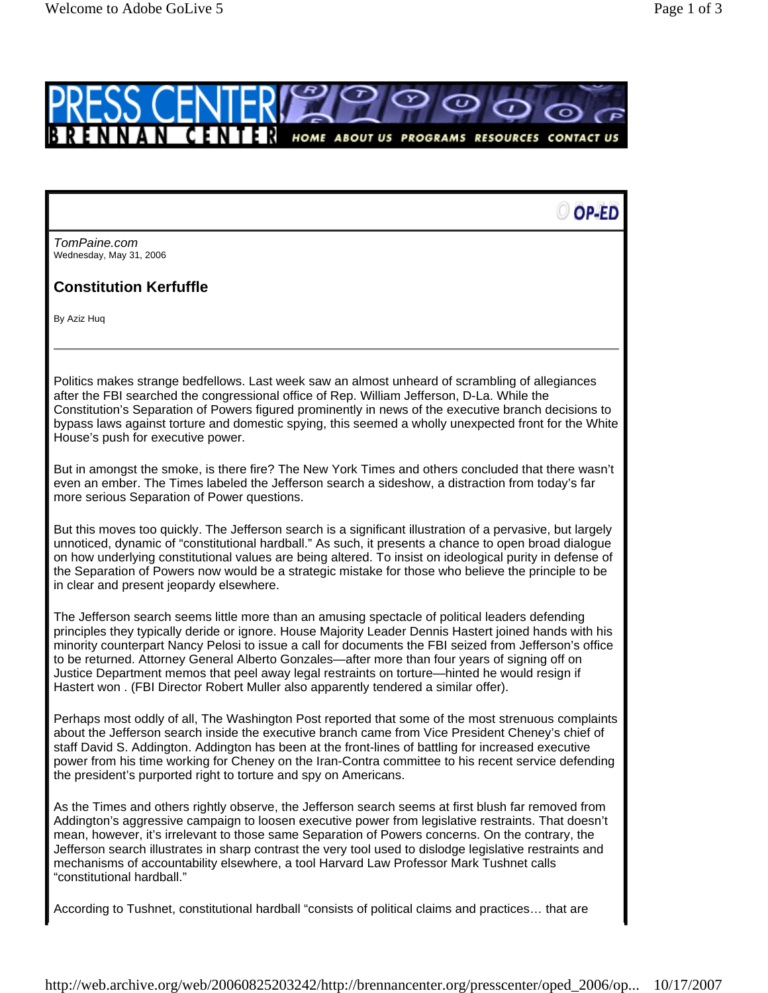

O OP-ED *TomPaine.com*  Wednesday, May 31, 2006 **Constitution Kerfuffle**  By Aziz Huq Politics makes strange bedfellows. Last week saw an almost unheard of scrambling of allegiances after the FBI searched the congressional office of Rep. William Jefferson, D-La. While the Constitution's Separation of Powers figured prominently in news of the executive branch decisions to bypass laws against torture and domestic spying, this seemed a wholly unexpected front for the White House's push for executive power. But in amongst the smoke, is there fire? The New York Times and others concluded that there wasn't even an ember. The Times labeled the Jefferson search a sideshow, a distraction from today's far more serious Separation of Power questions. But this moves too quickly. The Jefferson search is a significant illustration of a pervasive, but largely unnoticed, dynamic of "constitutional hardball." As such, it presents a chance to open broad dialogue on how underlying constitutional values are being altered. To insist on ideological purity in defense of the Separation of Powers now would be a strategic mistake for those who believe the principle to be in clear and present jeopardy elsewhere. The Jefferson search seems little more than an amusing spectacle of political leaders defending principles they typically deride or ignore. House Majority Leader Dennis Hastert joined hands with his minority counterpart Nancy Pelosi to issue a call for documents the FBI seized from Jefferson's office to be returned. Attorney General Alberto Gonzales—after more than four years of signing off on Justice Department memos that peel away legal restraints on torture—hinted he would resign if Hastert won . (FBI Director Robert Muller also apparently tendered a similar offer). Perhaps most oddly of all, The Washington Post reported that some of the most strenuous complaints about the Jefferson search inside the executive branch came from Vice President Cheney's chief of staff David S. Addington. Addington has been at the front-lines of battling for increased executive power from his time working for Cheney on the Iran-Contra committee to his recent service defending the president's purported right to torture and spy on Americans. As the Times and others rightly observe, the Jefferson search seems at first blush far removed from Addington's aggressive campaign to loosen executive power from legislative restraints. That doesn't mean, however, it's irrelevant to those same Separation of Powers concerns. On the contrary, the

According to Tushnet, constitutional hardball "consists of political claims and practices… that are

mechanisms of accountability elsewhere, a tool Harvard Law Professor Mark Tushnet calls

"constitutional hardball."

Jefferson search illustrates in sharp contrast the very tool used to dislodge legislative restraints and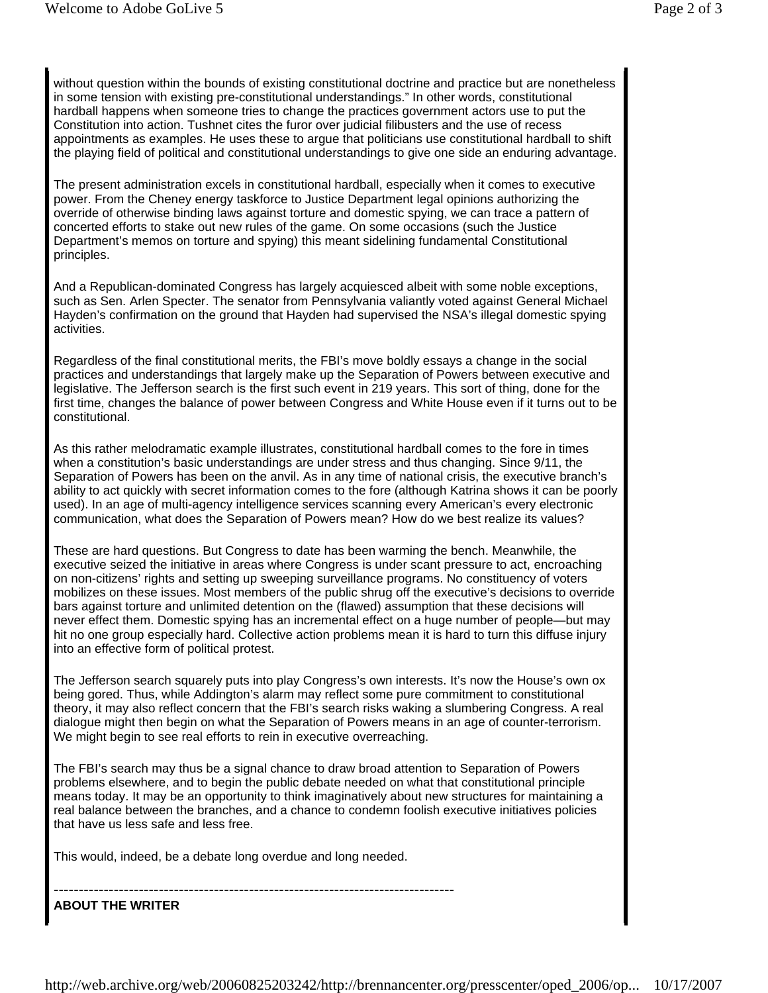without question within the bounds of existing constitutional doctrine and practice but are nonetheless in some tension with existing pre-constitutional understandings." In other words, constitutional hardball happens when someone tries to change the practices government actors use to put the Constitution into action. Tushnet cites the furor over judicial filibusters and the use of recess appointments as examples. He uses these to argue that politicians use constitutional hardball to shift the playing field of political and constitutional understandings to give one side an enduring advantage.

The present administration excels in constitutional hardball, especially when it comes to executive power. From the Cheney energy taskforce to Justice Department legal opinions authorizing the override of otherwise binding laws against torture and domestic spying, we can trace a pattern of concerted efforts to stake out new rules of the game. On some occasions (such the Justice Department's memos on torture and spying) this meant sidelining fundamental Constitutional principles.

And a Republican-dominated Congress has largely acquiesced albeit with some noble exceptions, such as Sen. Arlen Specter. The senator from Pennsylvania valiantly voted against General Michael Hayden's confirmation on the ground that Hayden had supervised the NSA's illegal domestic spying activities.

Regardless of the final constitutional merits, the FBI's move boldly essays a change in the social practices and understandings that largely make up the Separation of Powers between executive and legislative. The Jefferson search is the first such event in 219 years. This sort of thing, done for the first time, changes the balance of power between Congress and White House even if it turns out to be constitutional.

As this rather melodramatic example illustrates, constitutional hardball comes to the fore in times when a constitution's basic understandings are under stress and thus changing. Since 9/11, the Separation of Powers has been on the anvil. As in any time of national crisis, the executive branch's ability to act quickly with secret information comes to the fore (although Katrina shows it can be poorly used). In an age of multi-agency intelligence services scanning every American's every electronic communication, what does the Separation of Powers mean? How do we best realize its values?

These are hard questions. But Congress to date has been warming the bench. Meanwhile, the executive seized the initiative in areas where Congress is under scant pressure to act, encroaching on non-citizens' rights and setting up sweeping surveillance programs. No constituency of voters mobilizes on these issues. Most members of the public shrug off the executive's decisions to override bars against torture and unlimited detention on the (flawed) assumption that these decisions will never effect them. Domestic spying has an incremental effect on a huge number of people—but may hit no one group especially hard. Collective action problems mean it is hard to turn this diffuse injury into an effective form of political protest.

The Jefferson search squarely puts into play Congress's own interests. It's now the House's own ox being gored. Thus, while Addington's alarm may reflect some pure commitment to constitutional theory, it may also reflect concern that the FBI's search risks waking a slumbering Congress. A real dialogue might then begin on what the Separation of Powers means in an age of counter-terrorism. We might begin to see real efforts to rein in executive overreaching.

The FBI's search may thus be a signal chance to draw broad attention to Separation of Powers problems elsewhere, and to begin the public debate needed on what that constitutional principle means today. It may be an opportunity to think imaginatively about new structures for maintaining a real balance between the branches, and a chance to condemn foolish executive initiatives policies that have us less safe and less free.

This would, indeed, be a debate long overdue and long needed.

--------------------------------------------------------------------------------

**ABOUT THE WRITER**